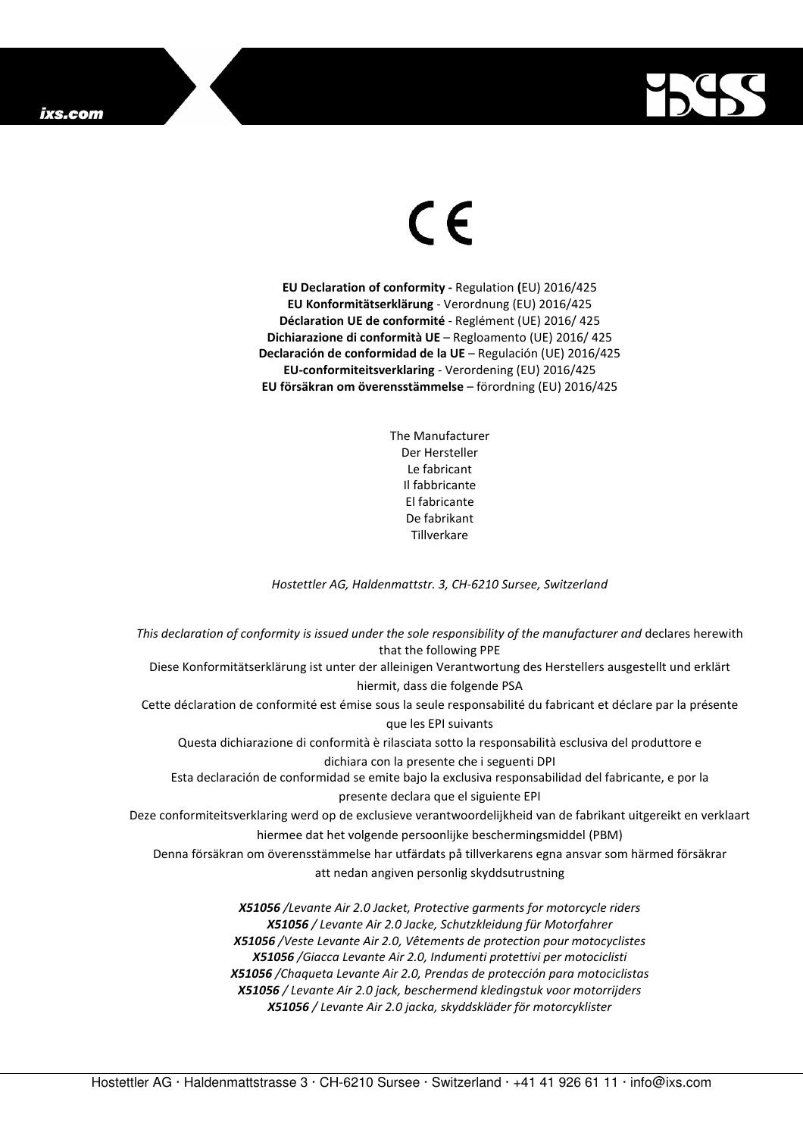## ixs.com



## $\in$   $\epsilon$

**EU Declaration of conformity -** Regulation **(**EU) 2016/425 **EU Konformitätserklärung** - Verordnung (EU) 2016/425 **Déclaration UE de conformité** - Reglément (UE) 2016/ 425 **Dichiarazione di conformità UE** – Regloamento (UE) 2016/ 425 **Declaración de conformidad de la UE** – Regulación (UE) 2016/425 **EU-conformiteitsverklaring** - Verordening (EU) 2016/425 **EU försäkran om överensstämmelse** – förordning (EU) 2016/425

> The Manufacturer Der Hersteller Le fabricant Il fabbricante El fabricante De fabrikant **Tillverkare**

*Hostettler AG, Haldenmattstr. 3, CH-6210 Sursee, Switzerland* 

*This declaration of conformity is issued under the sole responsibility of the manufacturer and* declares herewith that the following PPE Diese Konformitätserklärung ist unter der alleinigen Verantwortung des Herstellers ausgestellt und erklärt hiermit, dass die folgende PSA Cette déclaration de conformité est émise sous la seule responsabilité du fabricant et déclare par la présente que les EPI suivants Questa dichiarazione di conformità è rilasciata sotto la responsabilità esclusiva del produttore e dichiara con la presente che i seguenti DPI Esta declaración de conformidad se emite bajo la exclusiva responsabilidad del fabricante, e por la presente declara que el siguiente EPI Deze conformiteitsverklaring werd op de exclusieve verantwoordelijkheid van de fabrikant uitgereikt en verklaart hiermee dat het volgende persoonlijke beschermingsmiddel (PBM) Denna försäkran om överensstämmelse har utfärdats på tillverkarens egna ansvar som härmed försäkrar att nedan angiven personlig skyddsutrustning *X51056 /Levante Air 2.0 Jacket, Protective garments for motorcycle riders X51056 / Levante Air 2.0 Jacke, Schutzkleidung für Motorfahrer X51056 /Veste Levante Air 2.0, Vêtements de protection pour motocyclistes X51056 /Giacca Levante Air 2.0, Indumenti protettivi per motociclisti X51056 /Chaqueta Levante Air 2.0, Prendas de protección para motociclistas* 

*X51056 / Levante Air 2.0 jack, beschermend kledingstuk voor motorrijders* 

*X51056 / Levante Air 2.0 jacka, skyddskläder för motorcyklister*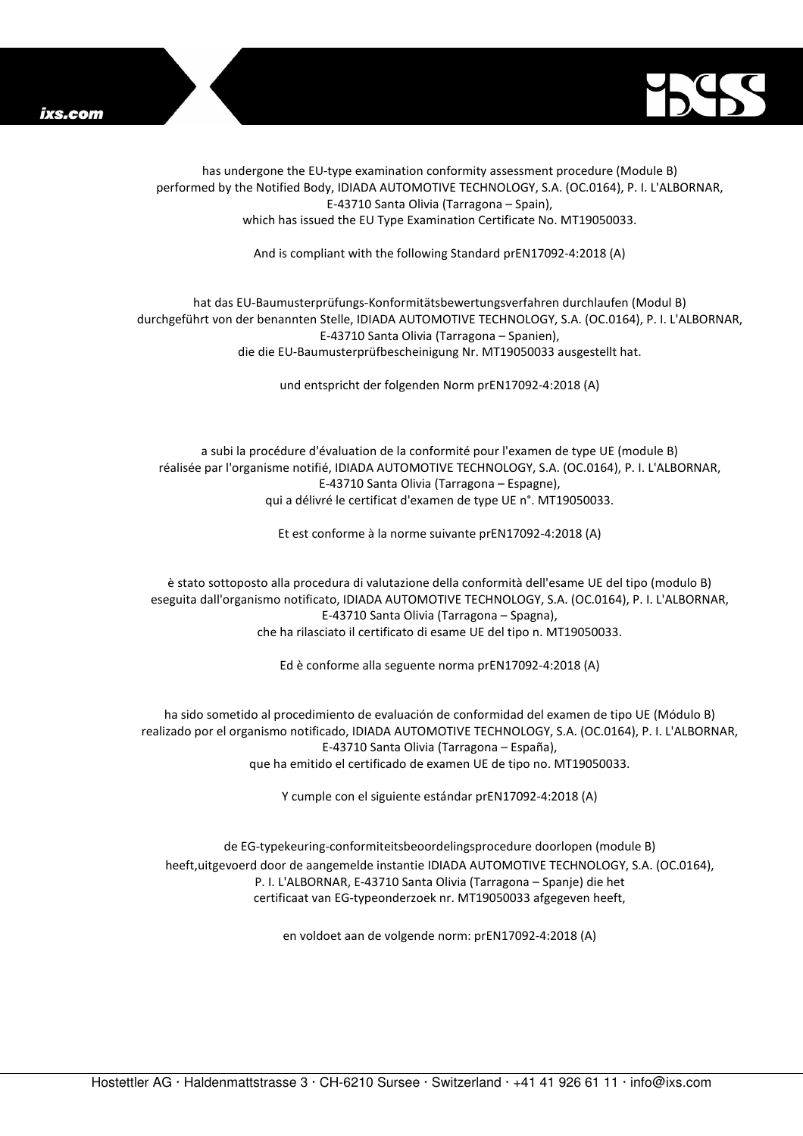



has undergone the EU-type examination conformity assessment procedure (Module B) performed by the Notified Body, IDIADA AUTOMOTIVE TECHNOLOGY, S.A. (OC.0164), P. I. L'ALBORNAR, E-43710 Santa Olivia (Tarragona – Spain), which has issued the EU Type Examination Certificate No. MT19050033.

And is compliant with the following Standard prEN17092-4:2018 (A)

## hat das EU-Baumusterprüfungs-Konformitätsbewertungsverfahren durchlaufen (Modul B) durchgeführt von der benannten Stelle, IDIADA AUTOMOTIVE TECHNOLOGY, S.A. (OC.0164), P. I. L'ALBORNAR, E-43710 Santa Olivia (Tarragona – Spanien), die die EU-Baumusterprüfbescheinigung Nr. MT19050033 ausgestellt hat.

und entspricht der folgenden Norm prEN17092-4:2018 (A)

a subi la procédure d'évaluation de la conformité pour l'examen de type UE (module B) réalisée par l'organisme notifié, IDIADA AUTOMOTIVE TECHNOLOGY, S.A. (OC.0164), P. I. L'ALBORNAR, E-43710 Santa Olivia (Tarragona – Espagne), qui a délivré le certificat d'examen de type UE n°. MT19050033.

Et est conforme à la norme suivante prEN17092-4:2018 (A)

è stato sottoposto alla procedura di valutazione della conformità dell'esame UE del tipo (modulo B) eseguita dall'organismo notificato, IDIADA AUTOMOTIVE TECHNOLOGY, S.A. (OC.0164), P. I. L'ALBORNAR, E-43710 Santa Olivia (Tarragona – Spagna), che ha rilasciato il certificato di esame UE del tipo n. MT19050033.

Ed è conforme alla seguente norma prEN17092-4:2018 (A)

ha sido sometido al procedimiento de evaluación de conformidad del examen de tipo UE (Módulo B) realizado por el organismo notificado, IDIADA AUTOMOTIVE TECHNOLOGY, S.A. (OC.0164), P. I. L'ALBORNAR, E-43710 Santa Olivia (Tarragona – España), que ha emitido el certificado de examen UE de tipo no. MT19050033.

Y cumple con el siguiente estándar prEN17092-4:2018 (A)

de EG-typekeuring-conformiteitsbeoordelingsprocedure doorlopen (module B) heeft,uitgevoerd door de aangemelde instantie IDIADA AUTOMOTIVE TECHNOLOGY, S.A. (OC.0164), P. I. L'ALBORNAR, E-43710 Santa Olivia (Tarragona – Spanje) die het certificaat van EG-typeonderzoek nr. MT19050033 afgegeven heeft,

en voldoet aan de volgende norm: prEN17092-4:2018 (A)